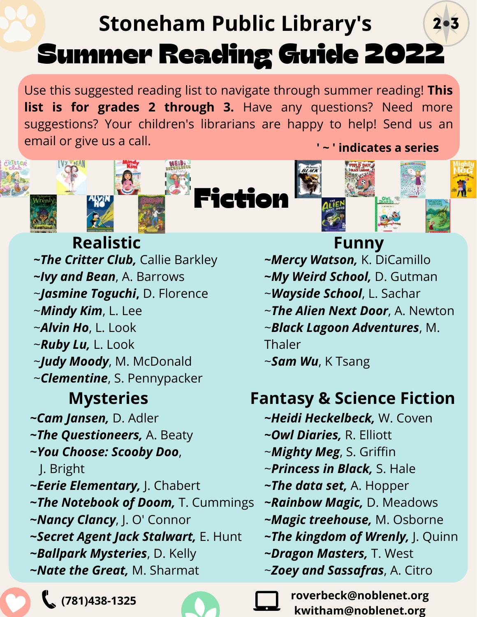## Summer Reading Guide 2022 2 . 3 **Stoneham Public Library's**

Use this suggested reading list to navigate through summer reading! **This list is for grades 2 through 3.** Have any questions? Need more suggestions? Your children's librarians are happy to help! Send us an email or give us a call.



\* BEAN







*~The Critter Club,* Callie Barkley *~Ivy and Bean*, A. Barrows ~*Jasmine Toguchi***,** D. Florence ~*Mindy Kim*, L. Lee ~*Alvin Ho*, L. Look ~*Ruby Lu,* L. Look ~*Judy Moody*, M. McDonald ~*Clementine*, S. Pennypacker **Realistic Funny**  *~Cam Jansen,* D. Adler *~The Questioneers,* A. Beaty

- **~***You Choose: Scooby Doo*,
	- J. Bright
- **~***Eerie Elementary,* J. Chabert
- **~***The Notebook of Doom,* T. Cummings
- **~***Nancy Clancy*, J. O' Connor
- **~***Secret Agent Jack Stalwart,* E. Hunt
- **~***Ballpark Mysteries*, D. Kelly
- **~***Nate the Great,* M. Sharmat



- *~Mercy Watson,* K. DiCamillo
- **~***My Weird School,* D. Gutman
- ~*Wayside School*, L. Sachar
- ~*The Alien Next Door*, A. Newton
- ~*Black Lagoon Adventures*, M. Thaler
- ~*Sam Wu*, K Tsang

## **Mysteries Fantasy & Science Fiction**

- *~Heidi Heckelbeck,* W. Coven
- *~Owl Diaries,* R. Elliott
- ~*Mighty Meg*, S. Griffin
- ~*Princess in Black,* S. Hale
- *~The data set,* A. Hopper
- *~Rainbow Magic,* D. Meadows
- *~Magic treehouse,* M. Osborne
- *~The kingdom of Wrenly,* J. Quinn
- *~Dragon Masters,* T. West
- ~*Zoey and Sassafras*, A. Citro

**roverbeck@noblenet.org kwitham@noblenet.org**